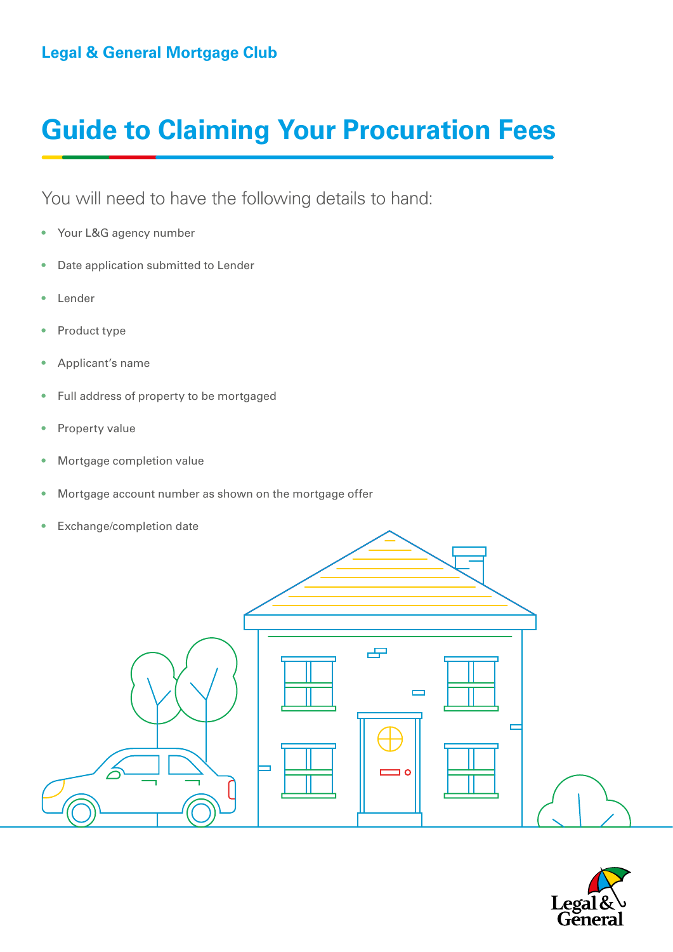## **Guide to Claiming Your Procuration Fees**

You will need to have the following details to hand:

- Your L&G agency number
- Date application submitted to Lender
- Lender
- Product type
- Applicant's name
- Full address of property to be mortgaged
- Property value
- Mortgage completion value
- Mortgage account number as shown on the mortgage offer
- Exchange/completion date